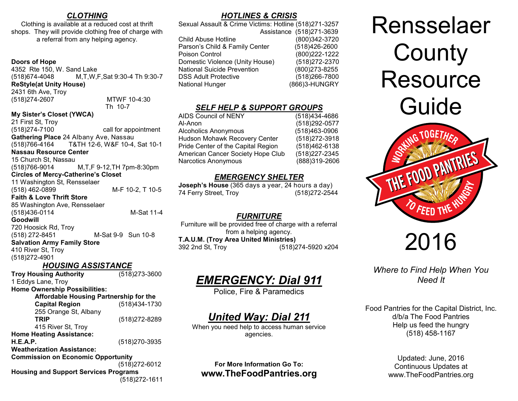### *CLOTHING*

Clothing is available at a reduced cost at thrift shops. They will provide clothing free of charge with a referral from any helping agency.

### **Doors of Hope**

4352 Rte 150, W. Sand Lake (518)674-4048 M,T,W,F,Sat 9:30-4 Th 9:30-7 **ReStyle(at Unity House)**  2431 6th Ave, Troy (518)274-2607 MTWF 10-4:30

Th 10-7

### **My Sister's Closet (YWCA)**

21 First St, Troy (518)274-7100 call for appointment **Gathering Place** 24 Albany Ave, Nassau (518)766-4164 T&TH 12-6, W&F 10-4, Sat 10-1 **Nassau Resource Center**  15 Church St, Nassau (518)766-9014 M,T,F 9-12,TH 7pm-8:30pm **Circles of Mercy-Catherine's Closet**  11 Washington St, Rensselaer (518) 462-0899 M-F 10-2, T 10-5 **Faith & Love Thrift Store** 85 Washington Ave, Rensselaer (518)436-0114 M-Sat 11-4 **Goodwill** 720 Hoosick Rd, Troy (518) 272-8451 M-Sat 9-9 Sun 10-8 **Salvation Army Family Store** 410 River St, Troy

(518)272-4901

*HOUSING ASSISTANCE* **Troy Housing Authority** (518)273-3600 1 Eddys Lane, Troy **Home Ownership Possibilities: Affordable Housing Partnership for the Capital Region** (518)434-1730 255 Orange St, Albany<br>TRIP **TRIP** (518)272-8289 415 River St, Troy **Home Heating Assistance: H.E.A.P.** (518)270-3935 **Weatherization Assistance: Commission on Economic Opportunity**  (518)272-6012 **Housing and Support Services Programs**

(518)272-1611

### *HOTLINES & CRISIS*

Sexual Assault & Crime Victims: Hotline (518)271-3257 Assistance (518)271-3639 Child Abuse Hotline (800)342-3720 Parson's Child & Family Center (518)426-2600 Poison Control (800)222-1222 Domestic Violence (Unity House) (518)272-2370 National Suicide Prevention (800)273-8255 DSS Adult Protective (518)266-7800 National Hunger (866)3-HUNGRY

### *SELF HELP & SUPPORT GROUPS*

| AIDS Council of NENY                 | (518)434-4686  |
|--------------------------------------|----------------|
| Al-Anon                              | (518)292-0577  |
| <b>Alcoholics Anonymous</b>          | (518)463-0906  |
| <b>Hudson Mohawk Recovery Center</b> | (518) 272-3918 |
| Pride Center of the Capital Region   | (518)462-6138  |
| American Cancer Society Hope Club    | (518) 227-2345 |
| <b>Narcotics Anonymous</b>           | (888)319-2606  |
|                                      |                |

### *EMERGENCY SHELTER*

**Joseph's House** (365 days a year, 24 hours a day) 74 Ferry Street, Troy (518)272-2544

### *FURNITURE*

Furniture will be provided free of charge with a referral from a helping agency. **T.A.U.M. (Troy Area United Ministries)** 392 2nd St, Troy (518)274-5920 x204

# *EMERGENCY: Dial 911*

Police, Fire & Paramedics

## *United Way: Dial 211*

When you need help to access human service agencies.

### **For More Information Go To: www.TheFoodPantries.org**

Rensselaer **County Resource** Guide



# 2016

### *Where to Find Help When You Need It*

Food Pantries for the Capital District, Inc. d/b/a The Food Pantries Help us feed the hungry (518) 458-1167

> Updated: June, 2016 Continuous Updates at www.TheFoodPantries.org